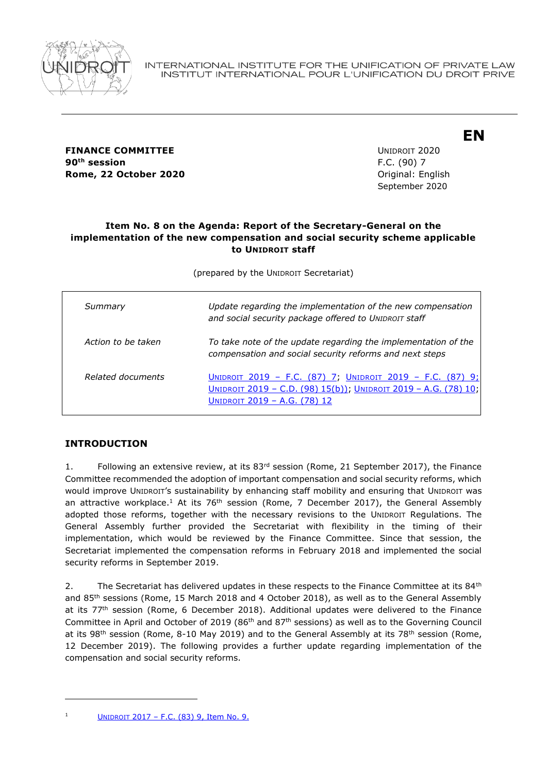

**FINANCE COMMITTEE EXAMPLE 2020** UNIDROIT 2020 **90 th session** F.C. (90) 7 **Rome, 22 October 2020 Constanting Construction Construction Construction Construction Construction Construction Construction Construction Construction Construction Construction Construction Construction Construction Con** 

September 2020

**EN**

## **Item No. 8 on the Agenda: Report of the Secretary-General on the implementation of the new compensation and social security scheme applicable to UNIDROIT staff**

(prepared by the UNIDROIT Secretariat)

| Summary            | Update regarding the implementation of the new compensation<br>and social security package offered to UNIDROIT staff                                         |
|--------------------|--------------------------------------------------------------------------------------------------------------------------------------------------------------|
| Action to be taken | To take note of the update regarding the implementation of the<br>compensation and social security reforms and next steps                                    |
| Related documents  | UNIDROIT 2019 - F.C. (87) 7; UNIDROIT 2019 - F.C. (87) 9;<br>UNIDROIT 2019 - C.D. (98) 15(b)); UNIDROIT 2019 - A.G. (78) 10;<br>UNIDROIT 2019 - A.G. (78) 12 |

## **INTRODUCTION**

1. Following an extensive review, at its 83<sup>rd</sup> session (Rome, 21 September 2017), the Finance Committee recommended the adoption of important compensation and social security reforms, which would improve UNIDROIT's sustainability by enhancing staff mobility and ensuring that UNIDROIT was an attractive workplace.<sup>1</sup> At its 76<sup>th</sup> session (Rome, 7 December 2017), the General Assembly adopted those reforms, together with the necessary revisions to the UNIDROIT Regulations. The General Assembly further provided the Secretariat with flexibility in the timing of their implementation, which would be reviewed by the Finance Committee. Since that session, the Secretariat implemented the compensation reforms in February 2018 and implemented the social security reforms in September 2019.

2. The Secretariat has delivered updates in these respects to the Finance Committee at its  $84<sup>th</sup>$ and 85th sessions (Rome, 15 March 2018 and 4 October 2018), as well as to the General Assembly at its 77<sup>th</sup> session (Rome, 6 December 2018). Additional updates were delivered to the Finance Committee in April and October of 2019 (86<sup>th</sup> and 87<sup>th</sup> sessions) as well as to the Governing Council at its 98<sup>th</sup> session (Rome, 8-10 May 2019) and to the General Assembly at its 78<sup>th</sup> session (Rome, 12 December 2019). The following provides a further update regarding implementation of the compensation and social security reforms.

UNIDROIT 2017 - [F.C. \(83\) 9, Item No. 9.](https://www.unidroit.org/english/governments/financecommitteedocuments/2017-83session/fc-83-09-e.pdf)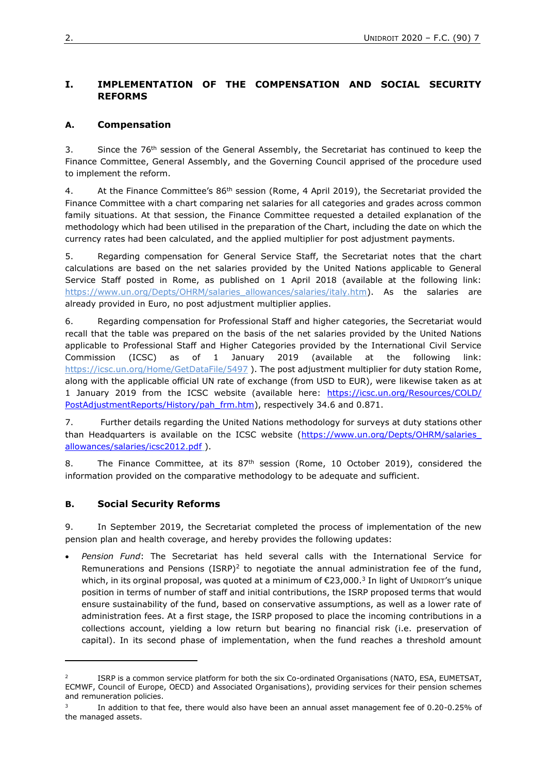# **I. IMPLEMENTATION OF THE COMPENSATION AND SOCIAL SECURITY REFORMS**

# **A. Compensation**

3. Since the 76<sup>th</sup> session of the General Assembly, the Secretariat has continued to keep the Finance Committee, General Assembly, and the Governing Council apprised of the procedure used to implement the reform.

4. At the Finance Committee's 86<sup>th</sup> session (Rome, 4 April 2019), the Secretariat provided the Finance Committee with a chart comparing net salaries for all categories and grades across common family situations. At that session, the Finance Committee requested a detailed explanation of the methodology which had been utilised in the preparation of the Chart, including the date on which the currency rates had been calculated, and the applied multiplier for post adjustment payments.

5. Regarding compensation for General Service Staff, the Secretariat notes that the chart calculations are based on the net salaries provided by the United Nations applicable to General Service Staff posted in Rome, as published on 1 April 2018 (available at the following link: [https://www.un.org/Depts/OHRM/salaries\\_allowances/salaries/italy.htm\)](https://www.un.org/Depts/OHRM/salaries_allowances/salaries/italy.htm). As the salaries are already provided in Euro, no post adjustment multiplier applies.

6. Regarding compensation for Professional Staff and higher categories, the Secretariat would recall that the table was prepared on the basis of the net salaries provided by the United Nations applicable to Professional Staff and Higher Categories provided by the International Civil Service Commission (ICSC) as of 1 January 2019 (available at the following link: <https://icsc.un.org/Home/GetDataFile/5497> ). The post adjustment multiplier for duty station Rome, along with the applicable official UN rate of exchange (from USD to EUR), were likewise taken as at 1 January 2019 from the ICSC website (available here: [https://icsc.un.org/Resources/COLD/](https://icsc.un.org/Resources/COLD/PostAdjustmentReports/History/pah_frm.htm) [PostAdjustmentReports/History/pah\\_frm.htm\)](https://icsc.un.org/Resources/COLD/PostAdjustmentReports/History/pah_frm.htm), respectively 34.6 and 0.871.

7. Further details regarding the United Nations methodology for surveys at duty stations other than Headquarters is available on the ICSC website (https://www.un.org/Depts/OHRM/salaries [allowances/salaries/icsc2012.pdf](https://www.un.org/Depts/OHRM/salaries_allowances/salaries/icsc2012.pdf) ).

8. The Finance Committee, at its  $87<sup>th</sup>$  session (Rome, 10 October 2019), considered the information provided on the comparative methodology to be adequate and sufficient.

## **B. Social Security Reforms**

9. In September 2019, the Secretariat completed the process of implementation of the new pension plan and health coverage, and hereby provides the following updates:

• *Pension Fund*: The Secretariat has held several calls with the International Service for Remunerations and Pensions (ISRP)<sup>2</sup> to negotiate the annual administration fee of the fund, which, in its orginal proposal, was quoted at a minimum of €23,000.<sup>3</sup> In light of UNIDROIT's unique position in terms of number of staff and initial contributions, the ISRP proposed terms that would ensure sustainability of the fund, based on conservative assumptions, as well as a lower rate of administration fees. At a first stage, the ISRP proposed to place the incoming contributions in a collections account, yielding a low return but bearing no financial risk (i.e. preservation of capital). In its second phase of implementation, when the fund reaches a threshold amount

 $\overline{2}$ ISRP is a common service platform for both the six Co-ordinated Organisations (NATO, ESA, EUMETSAT, ECMWF, Council of Europe, OECD) and Associated Organisations), providing services for their pension schemes and remuneration policies.

<sup>3</sup> In addition to that fee, there would also have been an annual asset management fee of 0.20-0.25% of the managed assets.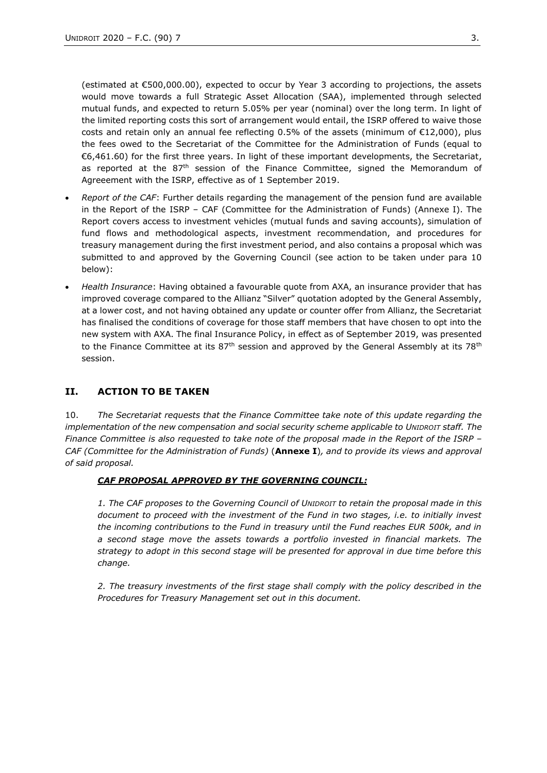(estimated at €500,000.00), expected to occur by Year 3 according to projections, the assets would move towards a full Strategic Asset Allocation (SAA), implemented through selected mutual funds, and expected to return 5.05% per year (nominal) over the long term. In light of the limited reporting costs this sort of arrangement would entail, the ISRP offered to waive those costs and retain only an annual fee reflecting 0.5% of the assets (minimum of €12,000), plus the fees owed to the Secretariat of the Committee for the Administration of Funds (equal to €6,461.60) for the first three years. In light of these important developments, the Secretariat, as reported at the  $87<sup>th</sup>$  session of the Finance Committee, signed the Memorandum of Agreeement with the ISRP, effective as of 1 September 2019.

- *Report of the CAF*: Further details regarding the management of the pension fund are available in the Report of the ISRP – CAF (Committee for the Administration of Funds) (Annexe I). The Report covers access to investment vehicles (mutual funds and saving accounts), simulation of fund flows and methodological aspects, investment recommendation, and procedures for treasury management during the first investment period, and also contains a proposal which was submitted to and approved by the Governing Council (see action to be taken under para 10 below):
- *Health Insurance*: Having obtained a favourable quote from AXA, an insurance provider that has improved coverage compared to the Allianz "Silver" quotation adopted by the General Assembly, at a lower cost, and not having obtained any update or counter offer from Allianz, the Secretariat has finalised the conditions of coverage for those staff members that have chosen to opt into the new system with AXA. The final Insurance Policy, in effect as of September 2019, was presented to the Finance Committee at its  $87<sup>th</sup>$  session and approved by the General Assembly at its  $78<sup>th</sup>$ session.

## **II. ACTION TO BE TAKEN**

10. *The Secretariat requests that the Finance Committee take note of this update regarding the implementation of the new compensation and social security scheme applicable to UNIDROIT staff. The Finance Committee is also requested to take note of the proposal made in the Report of the ISRP – CAF (Committee for the Administration of Funds)* (**Annexe I**)*, and to provide its views and approval of said proposal.* 

#### *CAF PROPOSAL APPROVED BY THE GOVERNING COUNCIL:*

*1. The CAF proposes to the Governing Council of UNIDROIT to retain the proposal made in this document to proceed with the investment of the Fund in two stages, i.e. to initially invest the incoming contributions to the Fund in treasury until the Fund reaches EUR 500k, and in a second stage move the assets towards a portfolio invested in financial markets. The strategy to adopt in this second stage will be presented for approval in due time before this change.* 

*2. The treasury investments of the first stage shall comply with the policy described in the Procedures for Treasury Management set out in this document.*